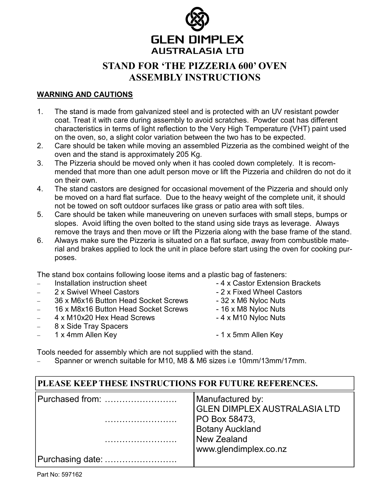

# STAND FOR 'THE PIZZERIA 600' OVEN ASSEMBLY INSTRUCTIONS

#### WARNING AND CAUTIONS

- 1. The stand is made from galvanized steel and is protected with an UV resistant powder coat. Treat it with care during assembly to avoid scratches. Powder coat has different characteristics in terms of light reflection to the Very High Temperature (VHT) paint used on the oven, so, a slight color variation between the two has to be expected.
- 2. Care should be taken while moving an assembled Pizzeria as the combined weight of the oven and the stand is approximately 205 Kg.
- 3. The Pizzeria should be moved only when it has cooled down completely. It is recommended that more than one adult person move or lift the Pizzeria and children do not do it on their own.
- 4. The stand castors are designed for occasional movement of the Pizzeria and should only be moved on a hard flat surface. Due to the heavy weight of the complete unit, it should not be towed on soft outdoor surfaces like grass or patio area with soft tiles.
- 5. Care should be taken while maneuvering on uneven surfaces with small steps, bumps or slopes. Avoid lifting the oven bolted to the stand using side trays as leverage. Always remove the trays and then move or lift the Pizzeria along with the base frame of the stand.
- 6. Always make sure the Pizzeria is situated on a flat surface, away from combustible material and brakes applied to lock the unit in place before start using the oven for cooking purposes.

The stand box contains following loose items and a plastic bag of fasteners:

- − Installation instruction sheet 4 x Castor Extension Brackets
- − 2 x Swivel Wheel Castors 2 x Fixed Wheel Castors
- 36 x M6x16 Button Head Socket Screws 32 x M6 Nyloc Nuts
- 16 x M8x16 Button Head Socket Screws 16 x M8 Nyloc Nuts
- − 4 x M10x20 Hex Head Screws 4 x M10 Nyloc Nuts
- − 8 x Side Tray Spacers
- 
- 
- 
- 
- 
- 
- − 1 x 4mm Allen Key 1 x 5mm Allen Key

Tools needed for assembly which are not supplied with the stand.

Spanner or wrench suitable for M10, M8 & M6 sizes i.e 10mm/13mm/17mm.

### PLEASE KEEP THESE INSTRUCTIONS FOR FUTURE REFERENCES.

| Purchased from:  | Manufactured by:                    |
|------------------|-------------------------------------|
|                  | <b>GLEN DIMPLEX AUSTRALASIA LTD</b> |
|                  | <b>PO Box 58473,</b>                |
|                  | <b>Botany Auckland</b>              |
|                  | New Zealand                         |
|                  | www.glendimplex.co.nz               |
| Purchasing date: |                                     |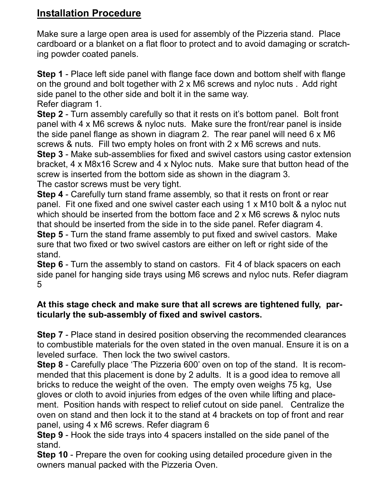# Installation Procedure

Make sure a large open area is used for assembly of the Pizzeria stand. Place cardboard or a blanket on a flat floor to protect and to avoid damaging or scratching powder coated panels.

Step 1 - Place left side panel with flange face down and bottom shelf with flange on the ground and bolt together with 2 x M6 screws and nyloc nuts . Add right side panel to the other side and bolt it in the same way. Refer diagram 1.

Step 2 - Turn assembly carefully so that it rests on it's bottom panel. Bolt front panel with 4 x M6 screws & nyloc nuts. Make sure the front/rear panel is inside the side panel flange as shown in diagram 2. The rear panel will need 6 x M6 screws & nuts. Fill two empty holes on front with 2 x M6 screws and nuts. Step 3 - Make sub-assemblies for fixed and swivel castors using castor extension bracket, 4 x M8x16 Screw and 4 x Nyloc nuts. Make sure that button head of the screw is inserted from the bottom side as shown in the diagram 3.

The castor screws must be very tight.

Step 4 - Carefully turn stand frame assembly, so that it rests on front or rear panel. Fit one fixed and one swivel caster each using 1 x M10 bolt & a nyloc nut which should be inserted from the bottom face and 2 x M6 screws & nyloc nuts that should be inserted from the side in to the side panel. Refer diagram 4.

Step 5 - Turn the stand frame assembly to put fixed and swivel castors. Make sure that two fixed or two swivel castors are either on left or right side of the stand.

**Step 6** - Turn the assembly to stand on castors. Fit 4 of black spacers on each side panel for hanging side trays using M6 screws and nyloc nuts. Refer diagram 5

### At this stage check and make sure that all screws are tightened fully, particularly the sub-assembly of fixed and swivel castors.

Step 7 - Place stand in desired position observing the recommended clearances to combustible materials for the oven stated in the oven manual. Ensure it is on a leveled surface. Then lock the two swivel castors.

Step 8 - Carefully place 'The Pizzeria 600' oven on top of the stand. It is recommended that this placement is done by 2 adults. It is a good idea to remove all bricks to reduce the weight of the oven. The empty oven weighs 75 kg, Use gloves or cloth to avoid injuries from edges of the oven while lifting and placement. Position hands with respect to relief cutout on side panel. Centralize the oven on stand and then lock it to the stand at 4 brackets on top of front and rear panel, using 4 x M6 screws. Refer diagram 6

Step 9 - Hook the side trays into 4 spacers installed on the side panel of the stand.

Step 10 - Prepare the oven for cooking using detailed procedure given in the owners manual packed with the Pizzeria Oven.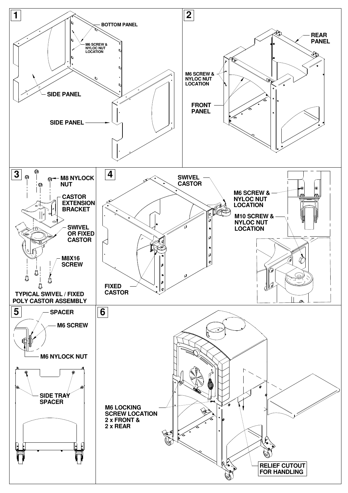